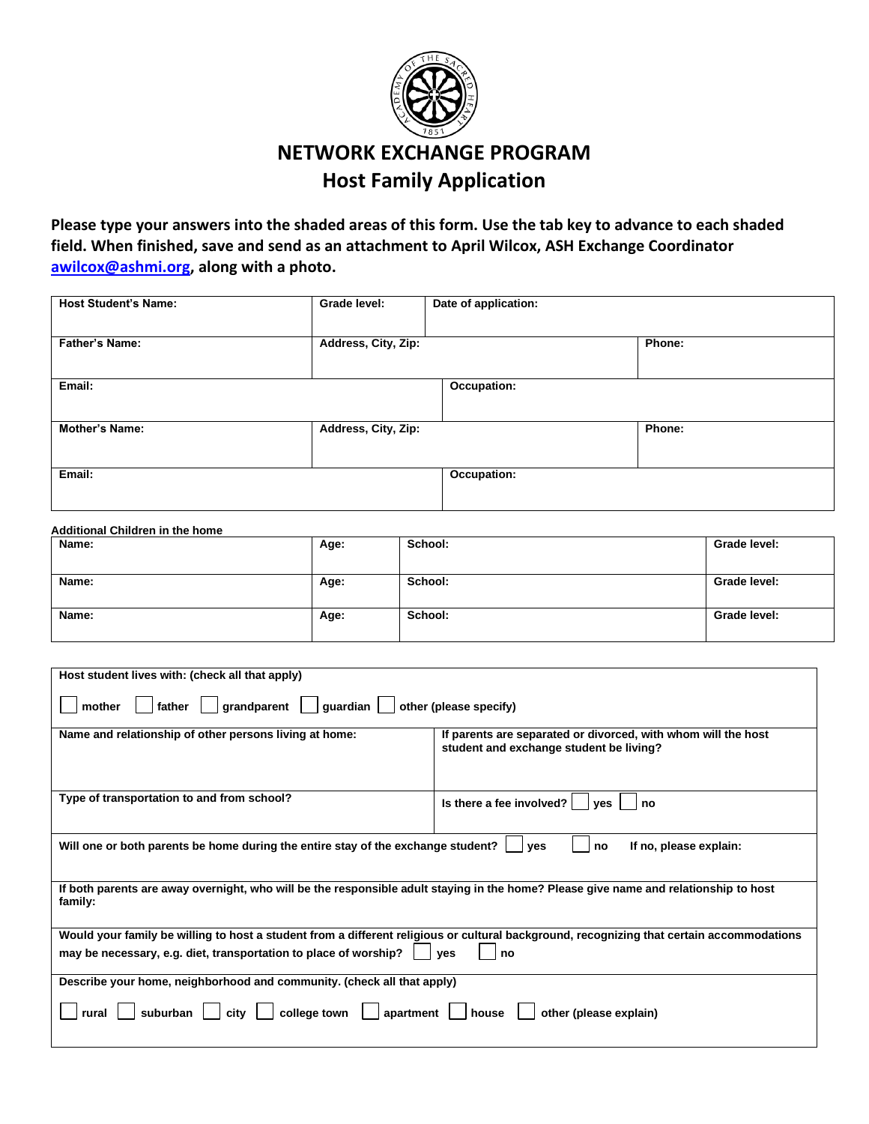

## **NETWORK EXCHANGE PROGRAM Host Family Application**

**Please type your answers into the shaded areas of this form. Use the tab key to advance to each shaded field. When finished, save and send as an attachment to April Wilcox, ASH Exchange Coordinator [awilcox@ashmi.org,](mailto:awilcox@ashmi.org) along with a photo.** 

| <b>Host Student's Name:</b> | Grade level:        | Date of application: |        |
|-----------------------------|---------------------|----------------------|--------|
| <b>Father's Name:</b>       | Address, City, Zip: |                      | Phone: |
| Email:                      |                     | Occupation:          |        |
| <b>Mother's Name:</b>       | Address, City, Zip: |                      | Phone: |
| Email:                      |                     | Occupation:          |        |

## **Additional Children in the home**

| Name: | Age: | School: | Grade level: |
|-------|------|---------|--------------|
|       |      |         |              |
| Name: | Age: | School: | Grade level: |
| Name: |      | School: | Grade level: |
|       | Age: |         |              |
|       |      |         |              |

| Host student lives with: (check all that apply)                                                                                                                                                                            |                                                                                                          |  |  |
|----------------------------------------------------------------------------------------------------------------------------------------------------------------------------------------------------------------------------|----------------------------------------------------------------------------------------------------------|--|--|
| other (please specify)<br>$q$ randparent $\vert$<br>guardian  <br>father<br>mother                                                                                                                                         |                                                                                                          |  |  |
| Name and relationship of other persons living at home:                                                                                                                                                                     | If parents are separated or divorced, with whom will the host<br>student and exchange student be living? |  |  |
| Type of transportation to and from school?                                                                                                                                                                                 | Is there a fee involved? $ $<br>no<br><b>ves</b>                                                         |  |  |
| Will one or both parents be home during the entire stay of the exchange student?<br>If no, please explain:<br>ves<br>no                                                                                                    |                                                                                                          |  |  |
| If both parents are away overnight, who will be the responsible adult staying in the home? Please give name and relationship to host<br>family:                                                                            |                                                                                                          |  |  |
| Would your family be willing to host a student from a different religious or cultural background, recognizing that certain accommodations<br>may be necessary, e.g. diet, transportation to place of worship?<br>ves<br>no |                                                                                                          |  |  |
| Describe your home, neighborhood and community. (check all that apply)                                                                                                                                                     |                                                                                                          |  |  |
| suburban<br>college town<br>other (please explain)<br>apartment<br>rural<br>city<br>house                                                                                                                                  |                                                                                                          |  |  |